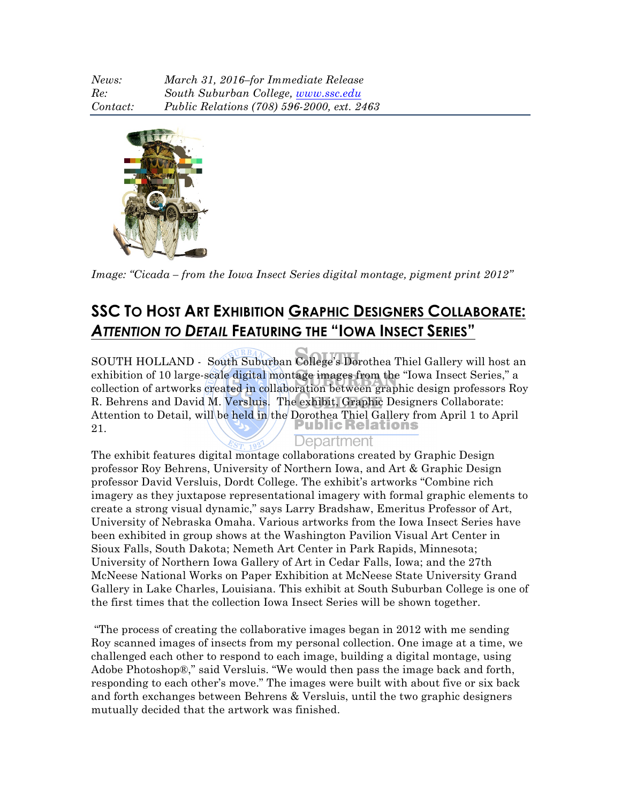| News:    | March 31, 2016–for Immediate Release       |
|----------|--------------------------------------------|
| Re:      | South Suburban College, www.ssc.edu        |
| Contact: | Public Relations (708) 596-2000, ext. 2463 |



*Image: "Cicada – from the Iowa Insect Series digital montage, pigment print 2012"* 

## **SSC TO HOST ART EXHIBITION GRAPHIC DESIGNERS COLLABORATE:** *ATTENTION TO DETAIL* **FEATURING THE "IOWA INSECT SERIES"**

SOUTH HOLLAND - South Suburban College's Dorothea Thiel Gallery will host an exhibition of 10 large-scale digital montage images from the "Iowa Insect Series," a collection of artworks created in collaboration between graphic design professors Roy R. Behrens and David M. Versluis. The exhibit, Graphic Designers Collaborate: Attention to Detail, will be held in the Dorothea Thiel Gallery from April 1 to April 21.

## Department

The exhibit features digital montage collaborations created by Graphic Design professor Roy Behrens, University of Northern Iowa, and Art & Graphic Design professor David Versluis, Dordt College. The exhibit's artworks "Combine rich imagery as they juxtapose representational imagery with formal graphic elements to create a strong visual dynamic," says Larry Bradshaw, Emeritus Professor of Art, University of Nebraska Omaha. Various artworks from the Iowa Insect Series have been exhibited in group shows at the Washington Pavilion Visual Art Center in Sioux Falls, South Dakota; Nemeth Art Center in Park Rapids, Minnesota; University of Northern Iowa Gallery of Art in Cedar Falls, Iowa; and the 27th McNeese National Works on Paper Exhibition at McNeese State University Grand Gallery in Lake Charles, Louisiana. This exhibit at South Suburban College is one of the first times that the collection Iowa Insect Series will be shown together.

"The process of creating the collaborative images began in 2012 with me sending Roy scanned images of insects from my personal collection. One image at a time, we challenged each other to respond to each image, building a digital montage, using Adobe Photoshop®," said Versluis. "We would then pass the image back and forth, responding to each other's move." The images were built with about five or six back and forth exchanges between Behrens & Versluis, until the two graphic designers mutually decided that the artwork was finished.